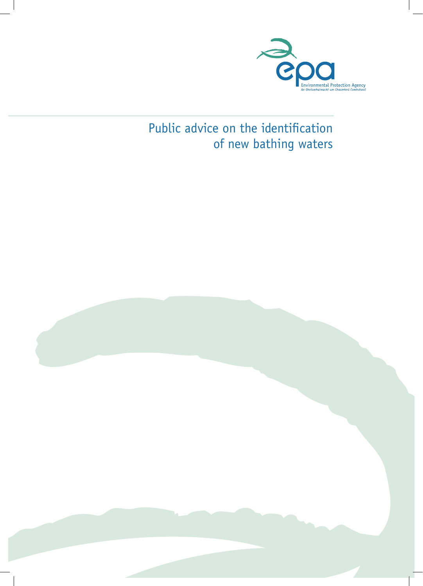

# Public advice on the identification of new bathing waters

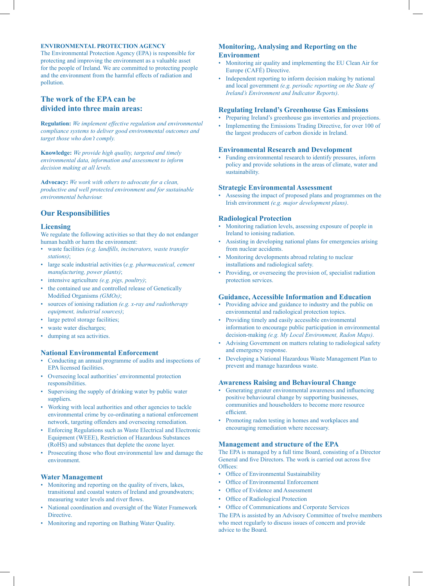## **ENVIRONMENTAL PROTECTION AGENCY**

The Environmental Protection Agency (EPA) is responsible for protecting and improving the environment as a valuable asset for the people of Ireland. We are committed to protecting people and the environment from the harmful effects of radiation and pollution.

# **The work of the EPA can be divided into three main areas:**

**Regulation:** *We implement effective regulation and environmental compliance systems to deliver good environmental outcomes and target those who don't comply.*

**Knowledge:** *We provide high quality, targeted and timely environmental data, information and assessment to inform decision making at all levels.*

**Advocacy:** *We work with others to advocate for a clean, productive and well protected environment and for sustainable environmental behaviour.*

# **Our Responsibilities**

## **Licensing**

We regulate the following activities so that they do not endanger human health or harm the environment:

- waste facilities *(e.g. landfills, incinerators, waste transfer stations)*;
- large scale industrial activities (*e.g. pharmaceutical, cement manufacturing, power plants)*;
- intensive agriculture *(e.g. pigs, poultry)*;
- the contained use and controlled release of Genetically Modified Organisms *(GMOs)*;
- sources of ionising radiation *(e.g. x-ray and radiotherapy equipment, industrial sources)*;
- large petrol storage facilities;
- waste water discharges;
- dumping at sea activities.

## **National Environmental Enforcement**

- Conducting an annual programme of audits and inspections of EPA licensed facilities.
- Overseeing local authorities' environmental protection responsibilities.
- Supervising the supply of drinking water by public water suppliers.
- Working with local authorities and other agencies to tackle environmental crime by co-ordinating a national enforcement network, targeting offenders and overseeing remediation.
- Enforcing Regulations such as Waste Electrical and Electronic Equipment (WEEE), Restriction of Hazardous Substances (RoHS) and substances that deplete the ozone layer.
- Prosecuting those who flout environmental law and damage the environment.

## **Water Management**

- Monitoring and reporting on the quality of rivers, lakes, transitional and coastal waters of Ireland and groundwaters; measuring water levels and river flows.
- National coordination and oversight of the Water Framework **Directive**
- Monitoring and reporting on Bathing Water Quality.

# **Monitoring, Analysing and Reporting on the Environment**

- Monitoring air quality and implementing the EU Clean Air for Europe (CAFÉ) Directive.
- Independent reporting to inform decision making by national and local government *(e.g. periodic reporting on the State of Ireland's Environment and Indicator Reports)*.

#### **Regulating Ireland's Greenhouse Gas Emissions**

• Preparing Ireland's greenhouse gas inventories and projections. • Implementing the Emissions Trading Directive, for over 100 of the largest producers of carbon dioxide in Ireland.

#### **Environmental Research and Development**

• Funding environmental research to identify pressures, inform policy and provide solutions in the areas of climate, water and sustainability.

#### **Strategic Environmental Assessment**

• Assessing the impact of proposed plans and programmes on the Irish environment *(e.g. major development plans)*.

#### **Radiological Protection**

- Monitoring radiation levels, assessing exposure of people in Ireland to ionising radiation.
- Assisting in developing national plans for emergencies arising from nuclear accidents.
- Monitoring developments abroad relating to nuclear installations and radiological safety.
- Providing, or overseeing the provision of, specialist radiation protection services.

## **Guidance, Accessible Information and Education**

- Providing advice and guidance to industry and the public on environmental and radiological protection topics.
- Providing timely and easily accessible environmental information to encourage public participation in environmental decision-making *(e.g. My Local Environment, Radon Maps)*.
- Advising Government on matters relating to radiological safety and emergency response.
- Developing a National Hazardous Waste Management Plan to prevent and manage hazardous waste.

#### **Awareness Raising and Behavioural Change**

- Generating greater environmental awareness and influencing positive behavioural change by supporting businesses, communities and householders to become more resource efficient.
- Promoting radon testing in homes and workplaces and encouraging remediation where necessary.

## **Management and structure of the EPA**

The EPA is managed by a full time Board, consisting of a Director General and five Directors. The work is carried out across five Offices:

- Office of Environmental Sustainability
- Office of Environmental Enforcement
- Office of Evidence and Assessment
- Office of Radiological Protection
- Office of Communications and Corporate Services

The EPA is assisted by an Advisory Committee of twelve members who meet regularly to discuss issues of concern and provide advice to the Board.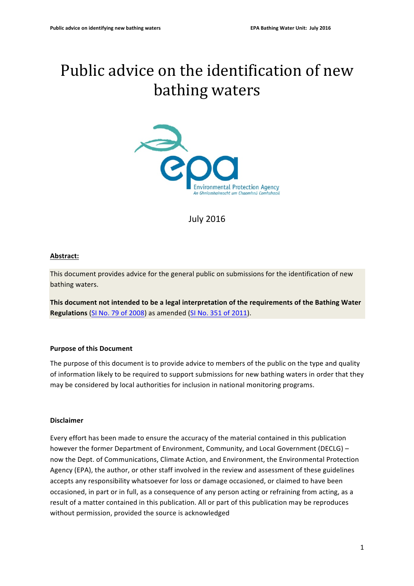# Public advice on the identification of new bathing waters



July 2016 

# **Abstract:**

This document provides advice for the general public on submissions for the identification of new bathing waters.

This document not intended to be a legal interpretation of the requirements of the Bathing Water **Regulations** (SI No. 79 of 2008) as amended (SI No. 351 of 2011).

# **Purpose of this Document**

The purpose of this document is to provide advice to members of the public on the type and quality of information likely to be required to support submissions for new bathing waters in order that they may be considered by local authorities for inclusion in national monitoring programs.

# **Disclaimer**

Every effort has been made to ensure the accuracy of the material contained in this publication however the former Department of Environment, Community, and Local Government (DECLG) – now the Dept. of Communications, Climate Action, and Environment, the Environmental Protection Agency (EPA), the author, or other staff involved in the review and assessment of these guidelines accepts any responsibility whatsoever for loss or damage occasioned, or claimed to have been occasioned, in part or in full, as a consequence of any person acting or refraining from acting, as a result of a matter contained in this publication. All or part of this publication may be reproduces without permission, provided the source is acknowledged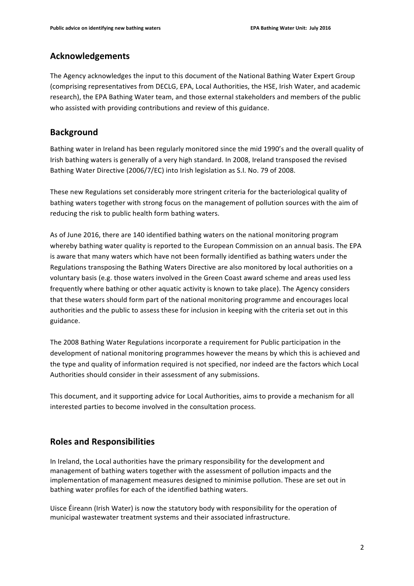# **Acknowledgements**

The Agency acknowledges the input to this document of the National Bathing Water Expert Group (comprising representatives from DECLG, EPA, Local Authorities, the HSE, Irish Water, and academic research), the EPA Bathing Water team, and those external stakeholders and members of the public who assisted with providing contributions and review of this guidance.

# **Background**

Bathing water in Ireland has been regularly monitored since the mid 1990's and the overall quality of Irish bathing waters is generally of a very high standard. In 2008, Ireland transposed the revised Bathing Water Directive (2006/7/EC) into Irish legislation as S.I. No. 79 of 2008.

These new Regulations set considerably more stringent criteria for the bacteriological quality of bathing waters together with strong focus on the management of pollution sources with the aim of reducing the risk to public health form bathing waters.

As of June 2016, there are 140 identified bathing waters on the national monitoring program whereby bathing water quality is reported to the European Commission on an annual basis. The EPA is aware that many waters which have not been formally identified as bathing waters under the Regulations transposing the Bathing Waters Directive are also monitored by local authorities on a voluntary basis (e.g. those waters involved in the Green Coast award scheme and areas used less frequently where bathing or other aquatic activity is known to take place). The Agency considers that these waters should form part of the national monitoring programme and encourages local authorities and the public to assess these for inclusion in keeping with the criteria set out in this guidance.

The 2008 Bathing Water Regulations incorporate a requirement for Public participation in the development of national monitoring programmes however the means by which this is achieved and the type and quality of information required is not specified, nor indeed are the factors which Local Authorities should consider in their assessment of any submissions.

This document, and it supporting advice for Local Authorities, aims to provide a mechanism for all interested parties to become involved in the consultation process.

# **Roles and Responsibilities**

In Ireland, the Local authorities have the primary responsibility for the development and management of bathing waters together with the assessment of pollution impacts and the implementation of management measures designed to minimise pollution. These are set out in bathing water profiles for each of the identified bathing waters.

Uisce Éireann (Irish Water) is now the statutory body with responsibility for the operation of municipal wastewater treatment systems and their associated infrastructure.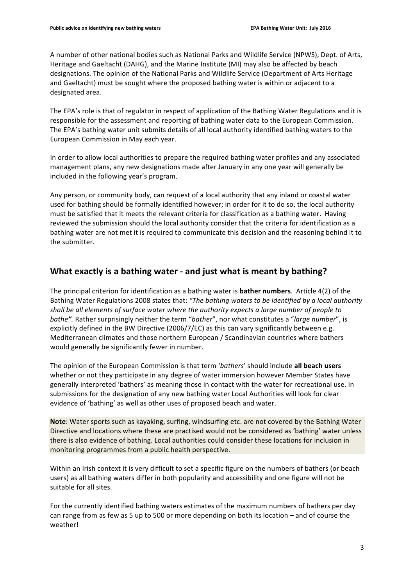A number of other national bodies such as National Parks and Wildlife Service (NPWS), Dept. of Arts, Heritage and Gaeltacht (DAHG), and the Marine Institute (MI) may also be affected by beach designations. The opinion of the National Parks and Wildlife Service (Department of Arts Heritage and Gaeltacht) must be sought where the proposed bathing water is within or adjacent to a designated area.

The EPA's role is that of regulator in respect of application of the Bathing Water Regulations and it is responsible for the assessment and reporting of bathing water data to the European Commission. The EPA's bathing water unit submits details of all local authority identified bathing waters to the European Commission in May each year.

In order to allow local authorities to prepare the required bathing water profiles and any associated management plans, any new designations made after January in any one year will generally be included in the following year's program.

Any person, or community body, can request of a local authority that any inland or coastal water used for bathing should be formally identified however; in order for it to do so, the local authority must be satisfied that it meets the relevant criteria for classification as a bathing water. Having reviewed the submission should the local authority consider that the criteria for identification as a bathing water are not met it is required to communicate this decision and the reasoning behind it to the submitter.

# **What exactly is a bathing water - and just what is meant by bathing?**

The principal criterion for identification as a bathing water is **bather numbers**. Article 4(2) of the Bathing Water Regulations 2008 states that: "The bathing waters to be identified by a local authority shall be all elements of surface water where the authority expects a large number of people to *bathe*". Rather surprisingly neither the term "bather", nor what constitutes a "large number", is explicitly defined in the BW Directive  $(2006/7/EC)$  as this can vary significantly between e.g. Mediterranean climates and those northern European / Scandinavian countries where bathers would generally be significantly fewer in number.

The opinion of the European Commission is that term 'bathers' should include all beach users whether or not they participate in any degree of water immersion however Member States have generally interpreted 'bathers' as meaning those in contact with the water for recreational use. In submissions for the designation of any new bathing water Local Authorities will look for clear evidence of 'bathing' as well as other uses of proposed beach and water.

Note: Water sports such as kayaking, surfing, windsurfing etc. are not covered by the Bathing Water Directive and locations where these are practised would not be considered as 'bathing' water unless there is also evidence of bathing. Local authorities could consider these locations for inclusion in monitoring programmes from a public health perspective.

Within an Irish context it is very difficult to set a specific figure on the numbers of bathers (or beach users) as all bathing waters differ in both popularity and accessibility and one figure will not be suitable for all sites.

For the currently identified bathing waters estimates of the maximum numbers of bathers per day can range from as few as 5 up to 500 or more depending on both its location – and of course the weather!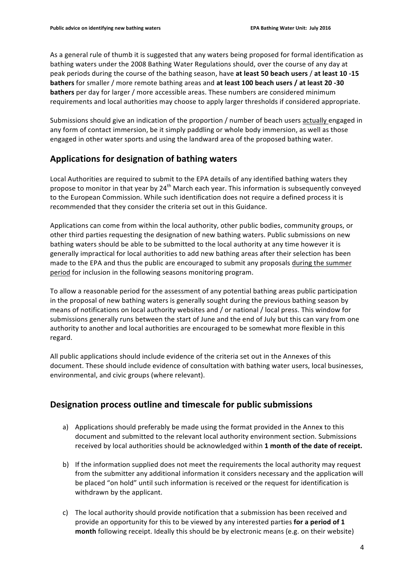As a general rule of thumb it is suggested that any waters being proposed for formal identification as bathing waters under the 2008 Bathing Water Regulations should, over the course of any day at peak periods during the course of the bathing season, have **at least 50 beach users** / **at least 10 -15 bathers** for smaller / more remote bathing areas and at least 100 beach users / at least 20 -30 **bathers** per day for larger / more accessible areas. These numbers are considered minimum requirements and local authorities may choose to apply larger thresholds if considered appropriate.

Submissions should give an indication of the proportion / number of beach users actually engaged in any form of contact immersion, be it simply paddling or whole body immersion, as well as those engaged in other water sports and using the landward area of the proposed bathing water.

# Applications for designation of bathing waters

Local Authorities are required to submit to the EPA details of any identified bathing waters they propose to monitor in that year by  $24<sup>th</sup>$  March each year. This information is subsequently conveyed to the European Commission. While such identification does not require a defined process it is recommended that they consider the criteria set out in this Guidance.

Applications can come from within the local authority, other public bodies, community groups, or other third parties requesting the designation of new bathing waters. Public submissions on new bathing waters should be able to be submitted to the local authority at any time however it is generally impractical for local authorities to add new bathing areas after their selection has been made to the EPA and thus the public are encouraged to submit any proposals during the summer period for inclusion in the following seasons monitoring program.

To allow a reasonable period for the assessment of any potential bathing areas public participation in the proposal of new bathing waters is generally sought during the previous bathing season by means of notifications on local authority websites and / or national / local press. This window for submissions generally runs between the start of June and the end of July but this can vary from one authority to another and local authorities are encouraged to be somewhat more flexible in this regard.

All public applications should include evidence of the criteria set out in the Annexes of this document. These should include evidence of consultation with bathing water users, local businesses, environmental, and civic groups (where relevant).

# **Designation process outline and timescale for public submissions**

- a) Applications should preferably be made using the format provided in the Annex to this document and submitted to the relevant local authority environment section. Submissions received by local authorities should be acknowledged within 1 month of the date of receipt.
- b) If the information supplied does not meet the requirements the local authority may request from the submitter any additional information it considers necessary and the application will be placed "on hold" until such information is received or the request for identification is withdrawn by the applicant.
- c) The local authority should provide notification that a submission has been received and provide an opportunity for this to be viewed by any interested parties for a period of 1 **month** following receipt. Ideally this should be by electronic means (e.g. on their website)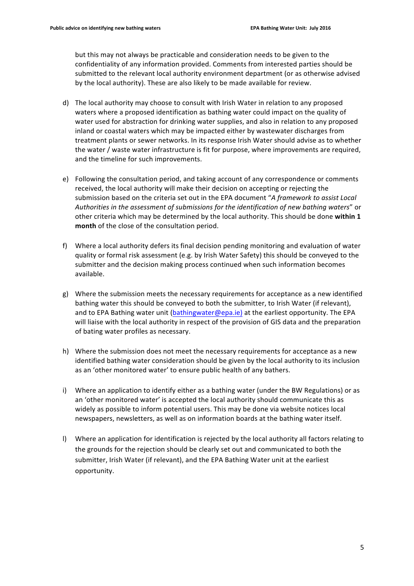but this may not always be practicable and consideration needs to be given to the confidentiality of any information provided. Comments from interested parties should be submitted to the relevant local authority environment department (or as otherwise advised by the local authority). These are also likely to be made available for review.

- d) The local authority may choose to consult with Irish Water in relation to any proposed waters where a proposed identification as bathing water could impact on the quality of water used for abstraction for drinking water supplies, and also in relation to any proposed inland or coastal waters which may be impacted either by wastewater discharges from treatment plants or sewer networks. In its response Irish Water should advise as to whether the water / waste water infrastructure is fit for purpose, where improvements are required, and the timeline for such improvements.
- e) Following the consultation period, and taking account of any correspondence or comments received, the local authority will make their decision on accepting or rejecting the submission based on the criteria set out in the EPA document "A framework to assist Local *Authorities in the assessment of submissions for the identification of new bathing waters*" or other criteria which may be determined by the local authority. This should be done within 1 **month** of the close of the consultation period.
- f) Where a local authority defers its final decision pending monitoring and evaluation of water quality or formal risk assessment (e.g. by Irish Water Safety) this should be conveyed to the submitter and the decision making process continued when such information becomes available.
- g) Where the submission meets the necessary requirements for acceptance as a new identified bathing water this should be conveyed to both the submitter, to Irish Water (if relevant), and to EPA Bathing water unit (bathingwater@epa.ie) at the earliest opportunity. The EPA will liaise with the local authority in respect of the provision of GIS data and the preparation of bating water profiles as necessary.
- h) Where the submission does not meet the necessary requirements for acceptance as a new identified bathing water consideration should be given by the local authority to its inclusion as an 'other monitored water' to ensure public health of any bathers.
- i) Where an application to identify either as a bathing water (under the BW Regulations) or as an 'other monitored water' is accepted the local authority should communicate this as widely as possible to inform potential users. This may be done via website notices local newspapers, newsletters, as well as on information boards at the bathing water itself.
- I) Where an application for identification is rejected by the local authority all factors relating to the grounds for the rejection should be clearly set out and communicated to both the submitter, Irish Water (if relevant), and the EPA Bathing Water unit at the earliest opportunity.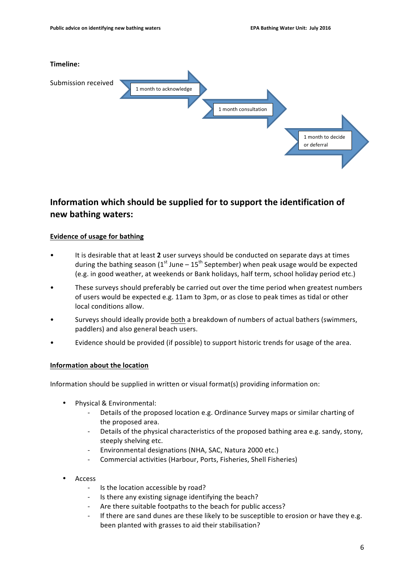

# **Information which should be supplied for to support the identification of new bathing waters:**

# **Evidence of usage for bathing**

- It is desirable that at least 2 user surveys should be conducted on separate days at times during the bathing season  $(1<sup>st</sup>$  June –  $15<sup>th</sup>$  September) when peak usage would be expected (e.g. in good weather, at weekends or Bank holidays, half term, school holiday period etc.)
- These surveys should preferably be carried out over the time period when greatest numbers of users would be expected e.g. 11am to 3pm, or as close to peak times as tidal or other local conditions allow.
- Surveys should ideally provide both a breakdown of numbers of actual bathers (swimmers, paddlers) and also general beach users.
- Evidence should be provided (if possible) to support historic trends for usage of the area.

# **Information about the location**

Information should be supplied in written or visual format(s) providing information on:

- Physical & Environmental:
	- Details of the proposed location e.g. Ordinance Survey maps or similar charting of the proposed area.
	- Details of the physical characteristics of the proposed bathing area e.g. sandy, stony, steeply shelving etc.
	- Environmental designations (NHA, SAC, Natura 2000 etc.)
	- Commercial activities (Harbour, Ports, Fisheries, Shell Fisheries)
- Access
	- Is the location accessible by road?
	- Is there any existing signage identifying the beach?
	- Are there suitable footpaths to the beach for public access?
	- If there are sand dunes are these likely to be susceptible to erosion or have they e.g. been planted with grasses to aid their stabilisation?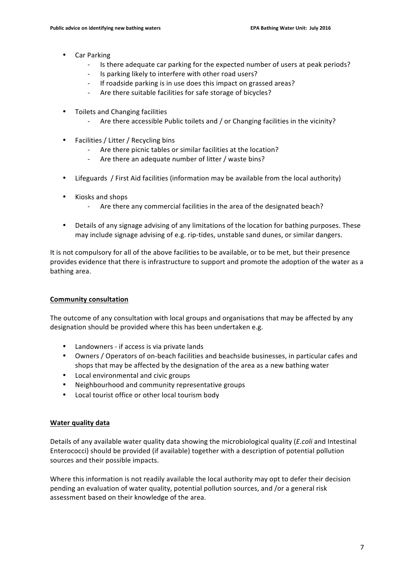- Car Parking
	- Is there adequate car parking for the expected number of users at peak periods?
	- Is parking likely to interfere with other road users?
	- If roadside parking is in use does this impact on grassed areas?
	- Are there suitable facilities for safe storage of bicycles?
- Toilets and Changing facilities
	- Are there accessible Public toilets and / or Changing facilities in the vicinity?
- Facilities / Litter / Recycling bins
	- Are there picnic tables or similar facilities at the location?
	- Are there an adequate number of litter / waste bins?
- Lifeguards / First Aid facilities (information may be available from the local authority)
- Kiosks and shops
	- Are there any commercial facilities in the area of the designated beach?
- Details of any signage advising of any limitations of the location for bathing purposes. These may include signage advising of e.g. rip-tides, unstable sand dunes, or similar dangers.

It is not compulsory for all of the above facilities to be available, or to be met, but their presence provides evidence that there is infrastructure to support and promote the adoption of the water as a bathing area. 

# **Community consultation**

The outcome of any consultation with local groups and organisations that may be affected by any designation should be provided where this has been undertaken e.g.

- Landowners if access is via private lands
- Owners / Operators of on-beach facilities and beachside businesses, in particular cafes and shops that may be affected by the designation of the area as a new bathing water
- Local environmental and civic groups
- Neighbourhood and community representative groups
- Local tourist office or other local tourism body

# **Water quality data**

Details of any available water quality data showing the microbiological quality (*E.coli* and Intestinal Enterococci) should be provided (if available) together with a description of potential pollution sources and their possible impacts.

Where this information is not readily available the local authority may opt to defer their decision pending an evaluation of water quality, potential pollution sources, and /or a general risk assessment based on their knowledge of the area.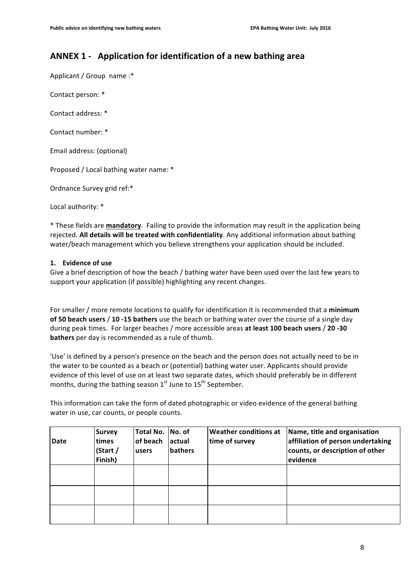# **ANNEX 1 - Application for identification of a new bathing area**

Applicant / Group name :\*

Contact person: \*

Contact address: \*

Contact number: \*

Email address: (optional)

Proposed / Local bathing water name: \*

Ordnance Survey grid ref:\*

Local authority: \*

\* These fields are **mandatory**. Failing to provide the information may result in the application being rejected. All details will be treated with confidentiality. Any additional information about bathing water/beach management which you believe strengthens your application should be included.

## 1. **Evidence** of use

Give a brief description of how the beach / bathing water have been used over the last few years to support your application (if possible) highlighting any recent changes.

For smaller / more remote locations to qualify for identification it is recommended that a minimum of 50 beach users / 10 -15 bathers use the beach or bathing water over the course of a single day during peak times. For larger beaches / more accessible areas at least 100 beach users / 20 -30 **bathers** per day is recommended as a rule of thumb.

'Use' is defined by a person's presence on the beach and the person does not actually need to be in the water to be counted as a beach or (potential) bathing water user. Applicants should provide evidence of this level of use on at least two separate dates, which should preferably be in different months, during the bathing season  $1<sup>st</sup>$  June to  $15<sup>th</sup>$  September.

This information can take the form of dated photographic or video evidence of the general bathing water in use, car counts, or people counts.

| <b>Date</b> | <b>Survey</b><br>ltimes<br>(Start /<br>Finish) | Total No.<br>of beach<br>users | No. of<br>lactual<br>bathers | <b>Weather conditions at</b><br>time of survey | Name, title and organisation<br>affiliation of person undertaking<br>counts, or description of other<br>evidence |
|-------------|------------------------------------------------|--------------------------------|------------------------------|------------------------------------------------|------------------------------------------------------------------------------------------------------------------|
|             |                                                |                                |                              |                                                |                                                                                                                  |
|             |                                                |                                |                              |                                                |                                                                                                                  |
|             |                                                |                                |                              |                                                |                                                                                                                  |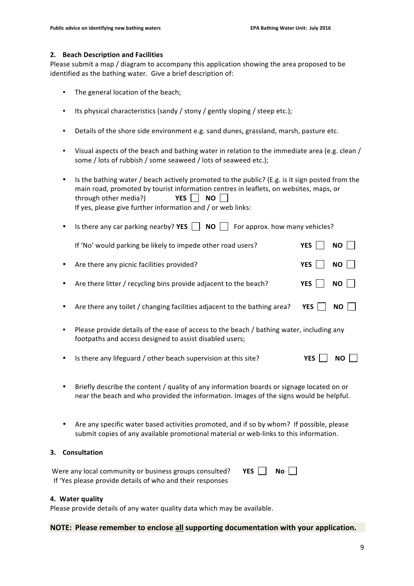## **2. Beach Description and Facilities**

Please submit a map / diagram to accompany this application showing the area proposed to be identified as the bathing water. Give a brief description of:

- The general location of the beach;
- Its physical characteristics (sandy / stony / gently sloping / steep etc.);
- Details of the shore side environment e.g. sand dunes, grassland, marsh, pasture etc.
- Visual aspects of the beach and bathing water in relation to the immediate area (e.g. clean / some / lots of rubbish / some seaweed / lots of seaweed etc.);

|                                                                            | $\bullet$                                                                                                                                                                                | Is the bathing water / beach actively promoted to the public? (E.g. is it sign posted from the<br>main road, promoted by tourist information centres in leaflets, on websites, maps, or<br>YES  <br><b>NO</b><br>through other media?)<br>If yes, please give further information and / or web links: |            |           |  |  |  |  |  |  |
|----------------------------------------------------------------------------|------------------------------------------------------------------------------------------------------------------------------------------------------------------------------------------|-------------------------------------------------------------------------------------------------------------------------------------------------------------------------------------------------------------------------------------------------------------------------------------------------------|------------|-----------|--|--|--|--|--|--|
|                                                                            |                                                                                                                                                                                          | Is there any car parking nearby? YES $\Box$<br><b>NO</b><br>For approx. how many vehicles?                                                                                                                                                                                                            |            |           |  |  |  |  |  |  |
|                                                                            |                                                                                                                                                                                          | If 'No' would parking be likely to impede other road users?                                                                                                                                                                                                                                           | <b>YES</b> | <b>NO</b> |  |  |  |  |  |  |
|                                                                            |                                                                                                                                                                                          | Are there any picnic facilities provided?                                                                                                                                                                                                                                                             | <b>YES</b> | <b>NO</b> |  |  |  |  |  |  |
|                                                                            |                                                                                                                                                                                          | Are there litter / recycling bins provide adjacent to the beach?                                                                                                                                                                                                                                      | <b>YES</b> | <b>NO</b> |  |  |  |  |  |  |
|                                                                            |                                                                                                                                                                                          | Are there any toilet / changing facilities adjacent to the bathing area?                                                                                                                                                                                                                              | <b>YES</b> | <b>NO</b> |  |  |  |  |  |  |
|                                                                            |                                                                                                                                                                                          | Please provide details of the ease of access to the beach / bathing water, including any<br>footpaths and access designed to assist disabled users;                                                                                                                                                   |            |           |  |  |  |  |  |  |
|                                                                            |                                                                                                                                                                                          | Is there any lifeguard / other beach supervision at this site?                                                                                                                                                                                                                                        | <b>YES</b> | <b>NO</b> |  |  |  |  |  |  |
|                                                                            | Briefly describe the content / quality of any information boards or signage located on or<br>٠<br>near the beach and who provided the information. Images of the signs would be helpful. |                                                                                                                                                                                                                                                                                                       |            |           |  |  |  |  |  |  |
|                                                                            |                                                                                                                                                                                          | Are any specific water based activities promoted, and if so by whom? If possible, please<br>submit copies of any available promotional material or web-links to this information.                                                                                                                     |            |           |  |  |  |  |  |  |
| }.                                                                         |                                                                                                                                                                                          | Consultation                                                                                                                                                                                                                                                                                          |            |           |  |  |  |  |  |  |
| Were any local community or business groups consulted?<br><b>YES</b><br>No |                                                                                                                                                                                          |                                                                                                                                                                                                                                                                                                       |            |           |  |  |  |  |  |  |

If 'Yes please provide details of who and their responses

# **4. Water quality**

**3. Consultation**

Please provide details of any water quality data which may be available.

# **NOTE:** Please remember to enclose all supporting documentation with your application.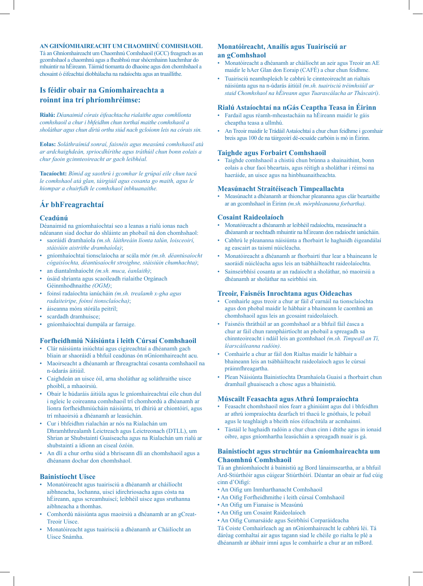## **AN GHNÍOMHAIREACHT UM CHAOMHNÚ COMHSHAOIL**

Tá an Ghníomhaireacht um Chaomhnú Comhshaoil (GCC) freagrach as an gcomhshaol a chaomhnú agus a fheabhsú mar shócmhainn luachmhar do mhuintir na hÉireann. Táimid tiomanta do dhaoine agus don chomhshaol a chosaint ó éifeachtaí díobhálacha na radaíochta agus an truaillithe.

# **Is féidir obair na Gníomhaireachta a roinnt ina trí phríomhréimse:**

**Rialú:** *Déanaimid córais éifeachtacha rialaithe agus comhlíonta comhshaoil a chur i bhfeidhm chun torthaí maithe comhshaoil a sholáthar agus chun díriú orthu siúd nach gcloíonn leis na córais sin.*

**Eolas:** *Soláthraímid sonraí, faisnéis agus measúnú comhshaoil atá ar ardchaighdeán, spriocdhírithe agus tráthúil chun bonn eolais a chur faoin gcinnteoireacht ar gach leibhéal.*

**Tacaíocht:** *Bímid ag saothrú i gcomhar le grúpaí eile chun tacú le comhshaol atá glan, táirgiúil agus cosanta go maith, agus le hiompar a chuirfidh le comhshaol inbhuanaithe.*

# **Ár bhFreagrachtaí**

#### **Ceadúnú**

Déanaimid na gníomhaíochtaí seo a leanas a rialú ionas nach ndéanann siad dochar do shláinte an phobail ná don chomhshaol:

- saoráidí dramhaíola *(m.sh. láithreáin líonta talún, loisceoirí, stáisiúin aistrithe dramhaíola)*;
- gníomhaíochtaí tionsclaíocha ar scála mór *(m.sh. déantúsaíocht cógaisíochta, déantúsaíocht stroighne, stáisiúin chumhachta)*;
- an diantalmhaíocht *(m.sh. muca, éanlaith)*;
- úsáid shrianta agus scaoileadh rialaithe Orgánach Géinmhodhnaithe *(OGM)*;
- foinsí radaíochta ianúcháin *(m.sh. trealamh x-gha agus radaiteiripe, foinsí tionsclaíocha)*;
- áiseanna móra stórála peitril;
- scardadh dramhuisce;
- gníomhaíochtaí dumpála ar farraige.

#### **Forfheidhmiú Náisiúnta i leith Cúrsaí Comhshaoil**

- Clár náisiúnta iniúchtaí agus cigireachtaí a dhéanamh gach bliain ar shaoráidí a bhfuil ceadúnas ón nGníomhaireacht acu.
- Maoirseacht a dhéanamh ar fhreagrachtaí cosanta comhshaoil na n-údarás áitiúil.
- Caighdeán an uisce óil, arna sholáthar ag soláthraithe uisce phoiblí, a mhaoirsiú.
- Obair le húdaráis áitiúla agus le gníomhaireachtaí eile chun dul i ngleic le coireanna comhshaoil trí chomhordú a dhéanamh ar líonra forfheidhmiúcháin náisiúnta, trí dhíriú ar chiontóirí, agus trí mhaoirsiú a dhéanamh ar leasúchán.
- Cur i bhfeidhm rialachán ar nós na Rialachán um Dhramhthrealamh Leictreach agus Leictreonach (DTLL), um Shrian ar Shubstaintí Guaiseacha agus na Rialachán um rialú ar shubstaintí a ídíonn an ciseal ózóin.
- An dlí a chur orthu siúd a bhriseann dlí an chomhshaoil agus a dhéanann dochar don chomhshaol.

## **Bainistíocht Uisce**

- Monatóireacht agus tuairisciú a dhéanamh ar cháilíocht aibhneacha, lochanna, uiscí idirchriosacha agus cósta na hÉireann, agus screamhuiscí; leibhéil uisce agus sruthanna aibhneacha a thomhas.
- Comhordú náisiúnta agus maoirsiú a dhéanamh ar an gCreat-Treoir Uisce.
- Monatóireacht agus tuairisciú a dhéanamh ar Cháilíocht an Uisce Snámha.

## **Monatóireacht, Anailís agus Tuairisciú ar an gComhshaol**

- Monatóireacht a dhéanamh ar cháilíocht an aeir agus Treoir an AE maidir le hAer Glan don Eoraip (CAFÉ) a chur chun feidhme.
- Tuairisciú neamhspleách le cabhrú le cinnteoireacht an rialtais náisiúnta agus na n-údarás áitiúil *(m.sh. tuairisciú tréimhsiúil ar staid Chomhshaol na hÉireann agus Tuarascálacha ar Tháscairí)*.

#### **Rialú Astaíochtaí na nGás Ceaptha Teasa in Éirinn**

- Fardail agus réamh-mheastacháin na hÉireann maidir le gáis cheaptha teasa a ullmhú.
- An Treoir maidir le Trádáil Astaíochtaí a chur chun feidhme i gcomhair breis agus 100 de na táirgeoirí dé-ocsaíde carbóin is mó in Éirinn.

## **Taighde agus Forbairt Comhshaoil**

• Taighde comhshaoil a chistiú chun brúnna a shainaithint, bonn eolais a chur faoi bheartais, agus réitigh a sholáthar i réimsí na haeráide, an uisce agus na hinbhuanaitheachta.

#### **Measúnacht Straitéiseach Timpeallachta**

• Measúnacht a dhéanamh ar thionchar pleananna agus clár beartaithe ar an gcomhshaol in Éirinn *(m.sh. mórphleananna forbartha)*.

#### **Cosaint Raideolaíoch**

- Monatóireacht a dhéanamh ar leibhéil radaíochta, measúnacht a dhéanamh ar nochtadh mhuintir na hÉireann don radaíocht ianúcháin.
- Cabhrú le pleananna náisiúnta a fhorbairt le haghaidh éigeandálaí ag eascairt as taismí núicléacha.
- Monatóireacht a dhéanamh ar fhorbairtí thar lear a bhaineann le saoráidí núicléacha agus leis an tsábháilteacht raideolaíochta.
- Sainseirbhísí cosanta ar an radaíocht a sholáthar, nó maoirsiú a dhéanamh ar sholáthar na seirbhísí sin.

#### **Treoir, Faisnéis Inrochtana agus Oideachas**

- Comhairle agus treoir a chur ar fáil d'earnáil na tionsclaíochta agus don phobal maidir le hábhair a bhaineann le caomhnú an chomhshaoil agus leis an gcosaint raideolaíoch.
- Faisnéis thráthúil ar an gcomhshaol ar a bhfuil fáil éasca a chur ar fáil chun rannpháirtíocht an phobail a spreagadh sa chinnteoireacht i ndáil leis an gcomhshaol *(m.sh. Timpeall an Tí, léarscáileanna radóin)*.
- Comhairle a chur ar fáil don Rialtas maidir le hábhair a bhaineann leis an tsábháilteacht raideolaíoch agus le cúrsaí práinnfhreagartha.
- Plean Náisiúnta Bainistíochta Dramhaíola Guaisí a fhorbairt chun dramhaíl ghuaiseach a chosc agus a bhainistiú.

## **Múscailt Feasachta agus Athrú Iompraíochta**

- Feasacht chomhshaoil níos fearr a ghiniúint agus dul i bhfeidhm ar athrú iompraíochta dearfach trí thacú le gnóthais, le pobail agus le teaghlaigh a bheith níos éifeachtúla ar acmhainní.
- Tástáil le haghaidh radóin a chur chun cinn i dtithe agus in ionaid oibre, agus gníomhartha leasúcháin a spreagadh nuair is gá.

## **Bainistíocht agus struchtúr na Gníomhaireachta um Chaomhnú Comhshaoil**

Tá an ghníomhaíocht á bainistiú ag Bord lánaimseartha, ar a bhfuil Ard-Stiúrthóir agus cúigear Stiúrthóirí. Déantar an obair ar fud cúig cinn d'Oifigí:

- An Oifig um Inmharthanacht Comhshaoil
- An Oifig Forfheidhmithe i leith cúrsaí Comhshaoil
- An Oifig um Fianaise is Measúnú
- An Oifig um Cosaint Raideolaíoch
- An Oifig Cumarsáide agus Seirbhísí Corparáideacha

Tá Coiste Comhairleach ag an nGníomhaireacht le cabhrú léi. Tá dáréag comhaltaí air agus tagann siad le chéile go rialta le plé a dhéanamh ar ábhair imní agus le comhairle a chur ar an mBord.